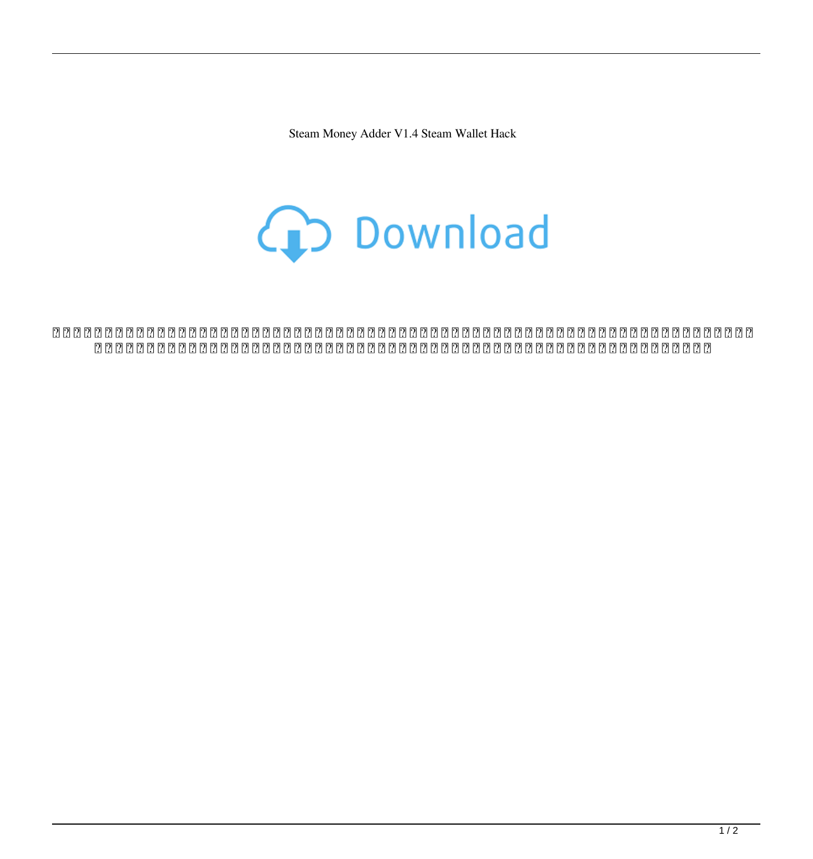Steam Money Adder V1.4 Steam Wallet Hack